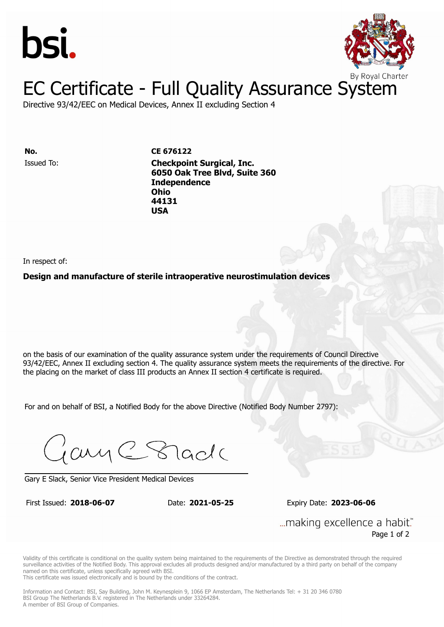



Directive 93/42/EEC on Medical Devices, Annex II excluding Section 4

**ISSUED TO: CE 676122 6050 Oak Tree Blvd, Suite 360 Independence** Issued To: **Checkpoint Surgical, Inc. Ohio 6050 Oak Tree Blvd, Suite 360 44131 Independence Ohio** 

In respect of:

### **Design and manufacture of sterile intraoperative neurostimulation devices**

**44131 USA**

on the basis of our examination of the quality assurance system under the requirements of Council Directive 93/42/EEC, Annex II excluding section 4. The quality assurance system meets the requirements of the directive. For the placing on the market of class III products an Annex II section 4 certificate is required.

For and on behalf of BSI, a Notified Body for the above Directive (Notified Body Number 2797):

Gary C Stade

Gary E Slack, Senior Vice President Medical Devices

First Issued: **2018-06-07** Date: **2021-05-25** Expiry Date: **2023-06-06**

First Issued: **2018-06-07** Date: **2021-05-25** Expiry Date: **2023-06-06**

... making excellence a habit." Page 1 of 2

Validity of this certificate is conditional on the quality system being maintained to the requirements of the Directive as demonstrated through the required surveillance activities of the Notified Body. This approval excludes all products designed and/or manufactured by a third party on behalf of the company named on this certificate, unless specifically agreed with BSI.

This certificate was issued electronically and is bound by the conditions of the contract.

Information and Contact: BSI, Say Building, John M. Keynesplein 9, 1066 EP Amsterdam, The Netherlands Tel: + 31 20 346 0780 BSI Group The Netherlands B.V. registered in The Netherlands under 33264284. A member of BSI Group of Companies.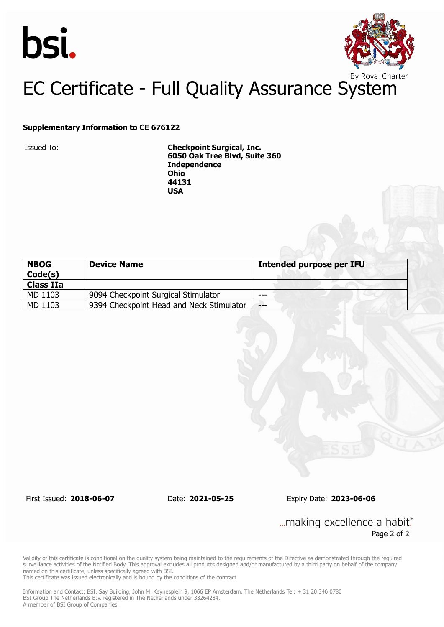



### **Supplementary Information to CE 676122**

Issued To: **Checkpoint Surgical, Inc. 6050 Oak Tree Blvd, Suite 360 Independence Ohio 44131 USA**

| <b>NBOG</b><br>Code(s) | <b>Device Name</b>                       | <b>Intended purpose per IFU</b> |
|------------------------|------------------------------------------|---------------------------------|
| <b>Class IIa</b>       |                                          |                                 |
| MD 1103                | 9094 Checkpoint Surgical Stimulator      | $---$                           |
| MD 1103                | 9394 Checkpoint Head and Neck Stimulator | $---$                           |

First Issued: **2018-06-07** Date: **2021-05-25** Expiry Date: **2023-06-06**

... making excellence a habit." Page 2 of 2

Validity of this certificate is conditional on the quality system being maintained to the requirements of the Directive as demonstrated through the required surveillance activities of the Notified Body. This approval excludes all products designed and/or manufactured by a third party on behalf of the company named on this certificate, unless specifically agreed with BSI.

This certificate was issued electronically and is bound by the conditions of the contract.

Information and Contact: BSI, Say Building, John M. Keynesplein 9, 1066 EP Amsterdam, The Netherlands Tel: + 31 20 346 0780 BSI Group The Netherlands B.V. registered in The Netherlands under 33264284. A member of BSI Group of Companies.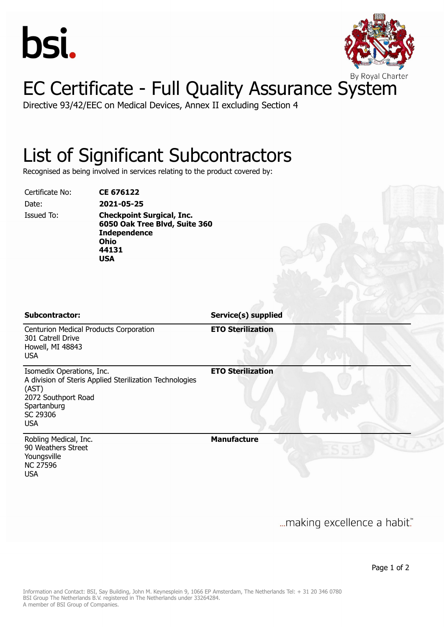



Directive 93/42/EEC on Medical Devices, Annex II excluding Section 4

### List of Significant Subcontractors

Recognised as being involved in services relating to the product covered by:

Certificate No: **CE 676122** Date: **2021-05-25**

Issued To: **Checkpoint Surgical, Inc. 6050 Oak Tree Blvd, Suite 360 Independence Ohio 44131 USA**

**Subcontractor: Service(s) supplied**

Centurion Medical Products Corporation 301 Catrell Drive Howell, MI 48843 USA **ETO Sterilization** Isomedix Operations, Inc. A division of Steris Applied Sterilization Technologies (AST) 2072 Southport Road Spartanburg SC 29306 **ETO Sterilization**

Robling Medical, Inc. 90 Weathers Street Youngsville NC 27596 USA

USA

**Manufacture**

... making excellence a habit."

Page 1 of 2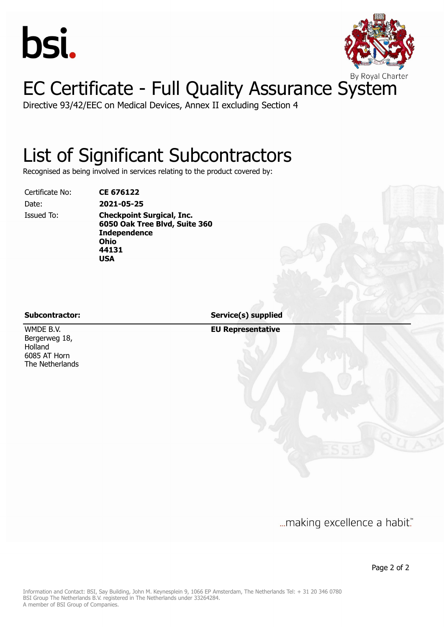



Directive 93/42/EEC on Medical Devices, Annex II excluding Section 4

### List of Significant Subcontractors

Recognised as being involved in services relating to the product covered by:

Certificate No: **CE 676122**

Date: **2021-05-25** Issued To: **Checkpoint Surgical, Inc. 6050 Oak Tree Blvd, Suite 360 Independence Ohio 44131 USA**

WMDE B.V. Bergerweg 18, Holland 6085 AT Horn The Netherlands

**Subcontractor: Service(s) supplied**

**EU Representative**

... making excellence a habit."

Page 2 of 2